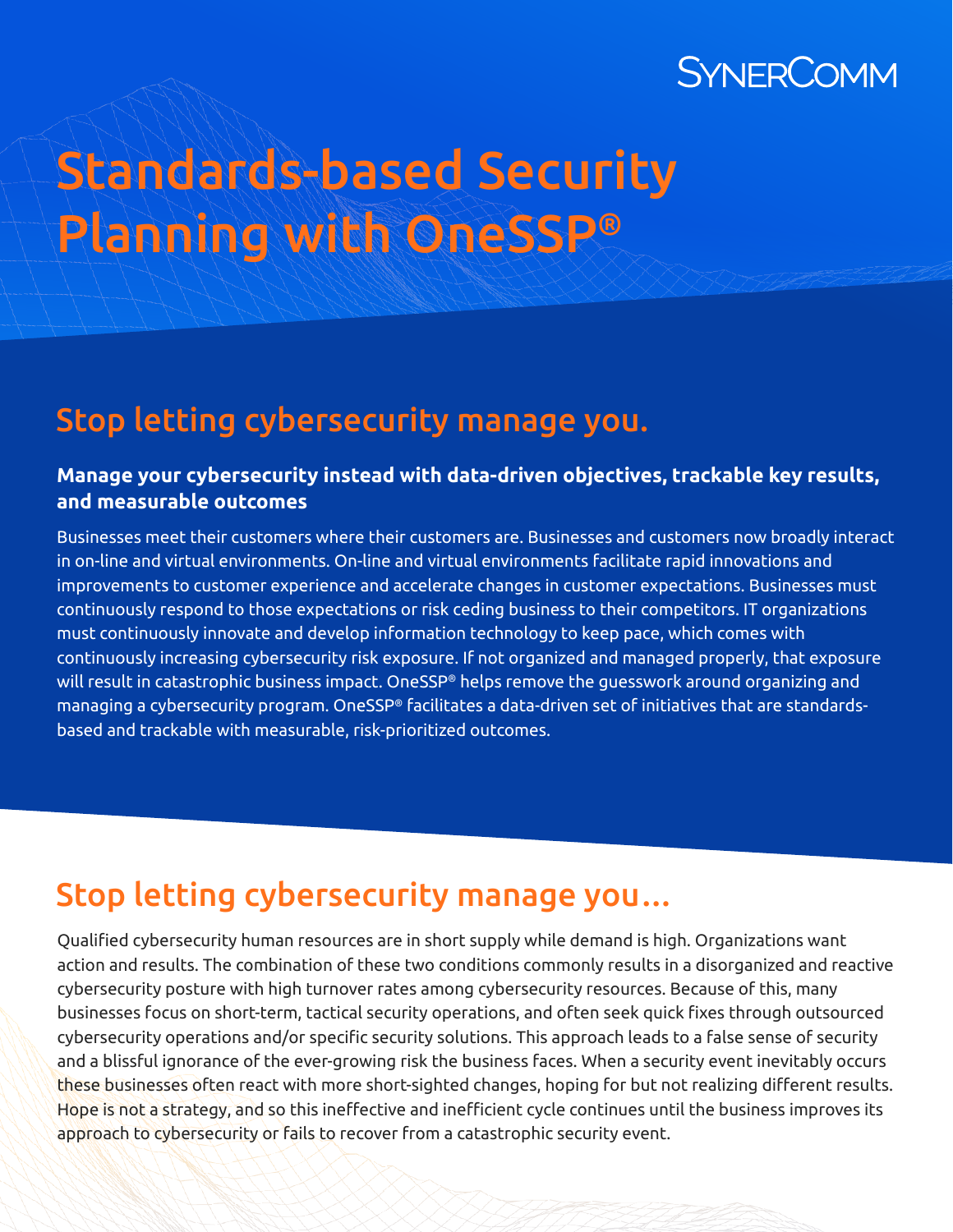## SYNERCOMM

# Standards-based Security Planning with OneSSP®

### Stop letting cybersecurity manage you.

#### **Manage your cybersecurity instead with data-driven objectives, trackable key results, and measurable outcomes**

Businesses meet their customers where their customers are. Businesses and customers now broadly interact in on-line and virtual environments. On-line and virtual environments facilitate rapid innovations and improvements to customer experience and accelerate changes in customer expectations. Businesses must continuously respond to those expectations or risk ceding business to their competitors. IT organizations must continuously innovate and develop information technology to keep pace, which comes with continuously increasing cybersecurity risk exposure. If not organized and managed properly, that exposure will result in catastrophic business impact. OneSSP® helps remove the guesswork around organizing and managing a cybersecurity program. OneSSP® facilitates a data-driven set of initiatives that are standardsbased and trackable with measurable, risk-prioritized outcomes.

### Stop letting cybersecurity manage you…

Qualified cybersecurity human resources are in short supply while demand is high. Organizations want action and results. The combination of these two conditions commonly results in a disorganized and reactive cybersecurity posture with high turnover rates among cybersecurity resources. Because of this, many businesses focus on short-term, tactical security operations, and often seek quick fixes through outsourced cybersecurity operations and/or specific security solutions. This approach leads to a false sense of security and a blissful ignorance of the ever-growing risk the business faces. When a security event inevitably occurs these businesses often react with more short-sighted changes, hoping for but not realizing different results. Hope is not a strategy, and so this ineffective and inefficient cycle continues until the business improves its approach to cybersecurity or fails to recover from a catastrophic security event.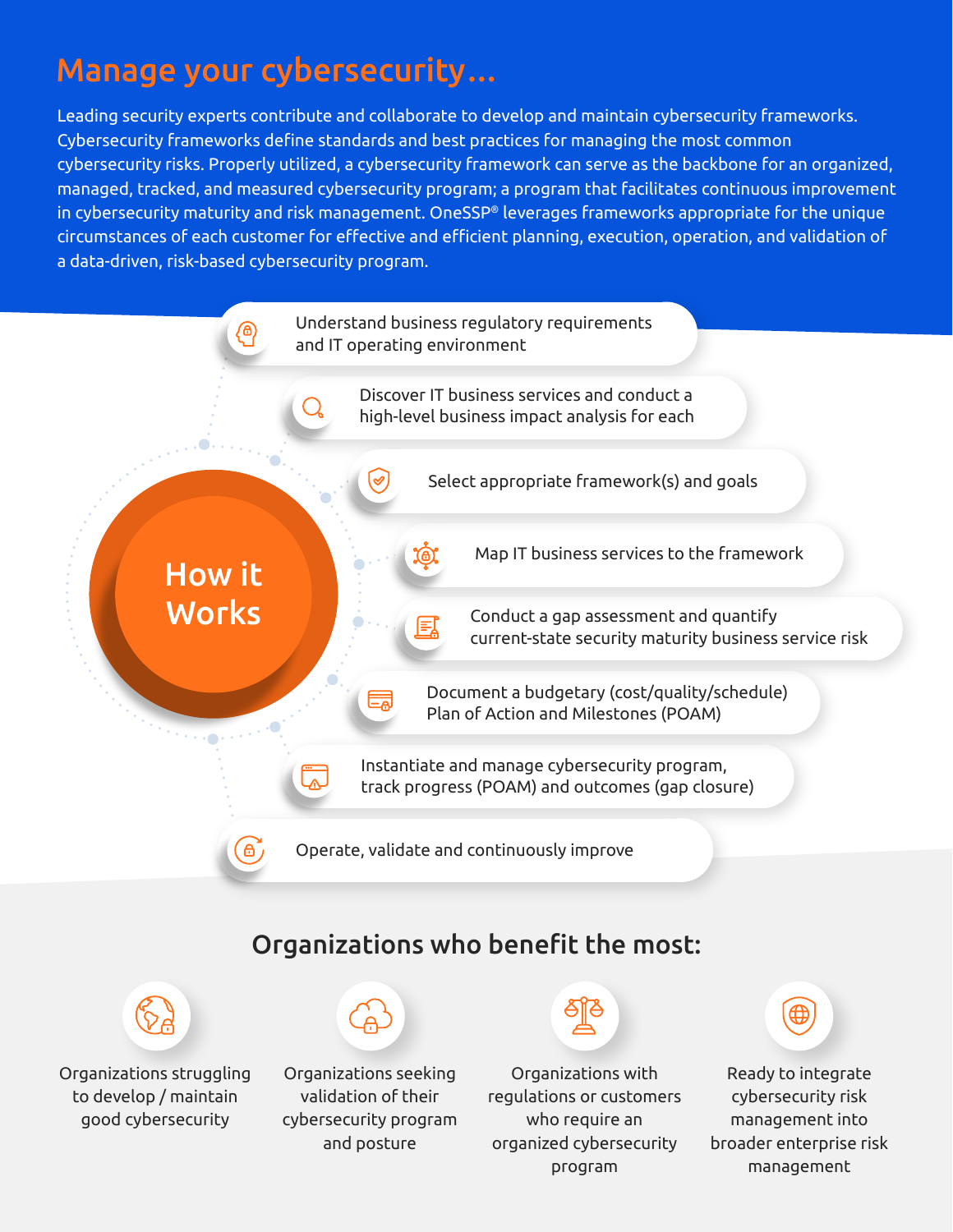### Manage your cybersecurity…

Leading security experts contribute and collaborate to develop and maintain cybersecurity frameworks. Cybersecurity frameworks define standards and best practices for managing the most common cybersecurity risks. Properly utilized, a cybersecurity framework can serve as the backbone for an organized, managed, tracked, and measured cybersecurity program; a program that facilitates continuous improvement in cybersecurity maturity and risk management. OneSSP® leverages frameworks appropriate for the unique circumstances of each customer for effective and efficient planning, execution, operation, and validation of a data-driven, risk-based cybersecurity program.



### Organizations who benefit the most:



Organizations struggling to develop / maintain good cybersecurity



Organizations seeking validation of their cybersecurity program and posture

Organizations with regulations or customers who require an organized cybersecurity program



Ready to integrate cybersecurity risk management into broader enterprise risk management